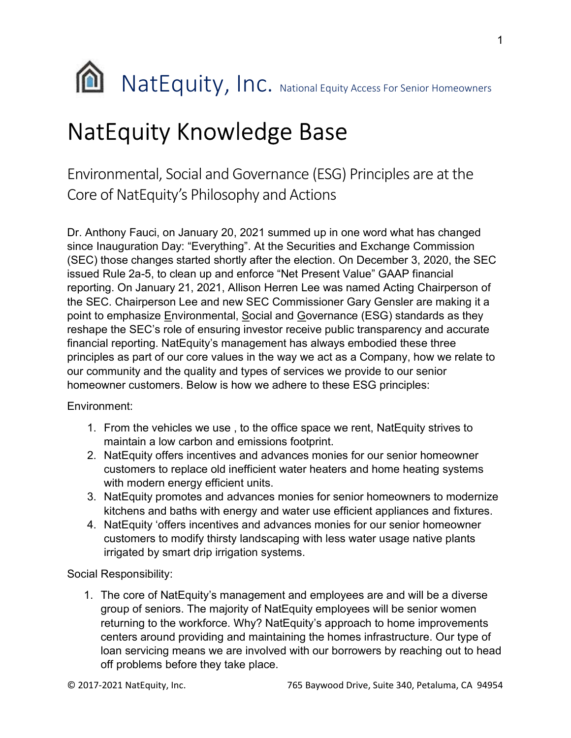

## NatEquity Knowledge Base

Environmental, Social and Governance (ESG) Principles are at the Core of NatEquity's Philosophy and Actions

Dr. Anthony Fauci, on January 20, 2021 summed up in one word what has changed since Inauguration Day: "Everything". At the Securities and Exchange Commission (SEC) those changes started shortly after the election. On December 3, 2020, the SEC issued Rule 2a-5, to clean up and enforce "Net Present Value" GAAP financial reporting. On January 21, 2021, Allison Herren Lee was named Acting Chairperson of the SEC. Chairperson Lee and new SEC Commissioner Gary Gensler are making it a point to emphasize Environmental, Social and Governance (ESG) standards as they reshape the SEC's role of ensuring investor receive public transparency and accurate financial reporting. NatEquity's management has always embodied these three principles as part of our core values in the way we act as a Company, how we relate to our community and the quality and types of services we provide to our senior homeowner customers. Below is how we adhere to these ESG principles:

Environment:

- 1. From the vehicles we use , to the office space we rent, NatEquity strives to maintain a low carbon and emissions footprint.
- 2. NatEquity offers incentives and advances monies for our senior homeowner customers to replace old inefficient water heaters and home heating systems with modern energy efficient units.
- 3. NatEquity promotes and advances monies for senior homeowners to modernize kitchens and baths with energy and water use efficient appliances and fixtures.
- 4. NatEquity 'offers incentives and advances monies for our senior homeowner customers to modify thirsty landscaping with less water usage native plants irrigated by smart drip irrigation systems.

Social Responsibility:

1. The core of NatEquity's management and employees are and will be a diverse group of seniors. The majority of NatEquity employees will be senior women returning to the workforce. Why? NatEquity's approach to home improvements centers around providing and maintaining the homes infrastructure. Our type of loan servicing means we are involved with our borrowers by reaching out to head off problems before they take place.